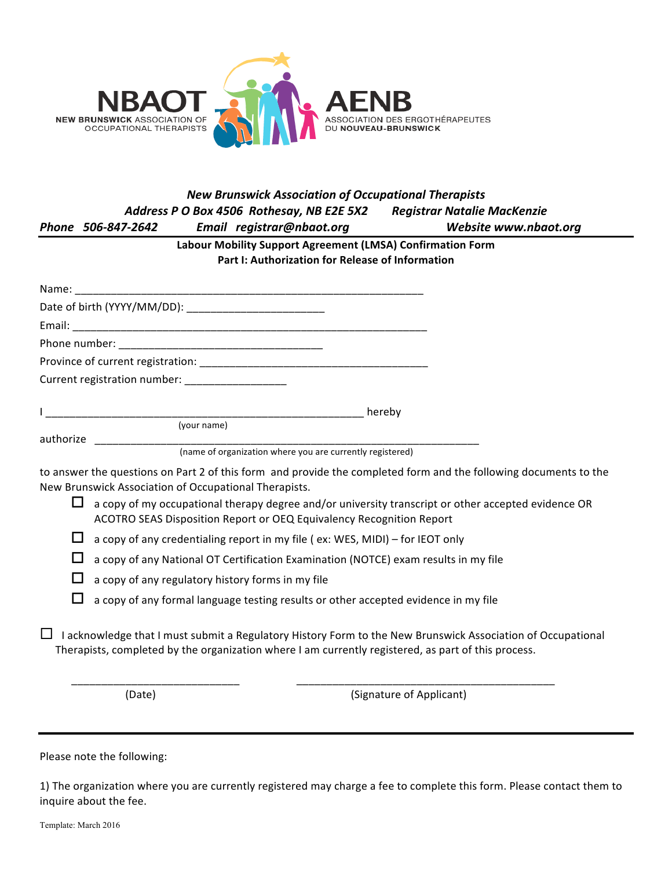

## *New Brunswick Association of Occupational Therapists Address P O Box 4506 Rothesay, NB E2E 5X2 Registrar Natalie MacKenzie Phone 506-847-2642 Email registrar@nbaot.org Website www.nbaot.org* Labour Mobility Support Agreement (LMSA) Confirmation Form Part I: Authorization for Release of Information Name: Date of birth (YYYY/MM/DD): Late of birth (YYYY/MM/DD): Email: Phone number: Province of current registration: \_\_\_\_\_\_\_\_\_\_\_\_\_\_\_\_\_\_\_\_\_\_\_\_\_\_\_\_\_\_\_\_\_\_\_\_\_\_ Current registration number: \_\_\_\_\_\_\_\_\_\_\_\_\_\_\_\_\_\_\_ I (your name) authorize **and a** (name of organization where you are currently registered) to answer the questions on Part 2 of this form and provide the completed form and the following documents to the New Brunswick Association of Occupational Therapists.  $\Box$  a copy of my occupational therapy degree and/or university transcript or other accepted evidence OR ACOTRO SEAS Disposition Report or OEQ Equivalency Recognition Report  $\Box$  a copy of any credentialing report in my file ( ex: WES, MIDI) – for IEOT only  $\Box$  a copy of any National OT Certification Examination (NOTCE) exam results in my file  $\Box$  a copy of any regulatory history forms in my file  $\Box$  a copy of any formal language testing results or other accepted evidence in my file  $\Box$  I acknowledge that I must submit a Regulatory History Form to the New Brunswick Association of Occupational Therapists, completed by the organization where I am currently registered, as part of this process. \_\_\_\_\_\_\_\_\_\_\_\_\_\_\_\_\_\_\_\_\_\_\_\_\_\_\_\_ \_\_\_\_\_\_\_\_\_\_\_\_\_\_\_\_\_\_\_\_\_\_\_\_\_\_\_\_\_\_\_\_\_\_\_\_\_\_\_\_\_\_\_

(Date) (Date) (Signature of Applicant)

Please note the following:

1) The organization where you are currently registered may charge a fee to complete this form. Please contact them to inquire about the fee.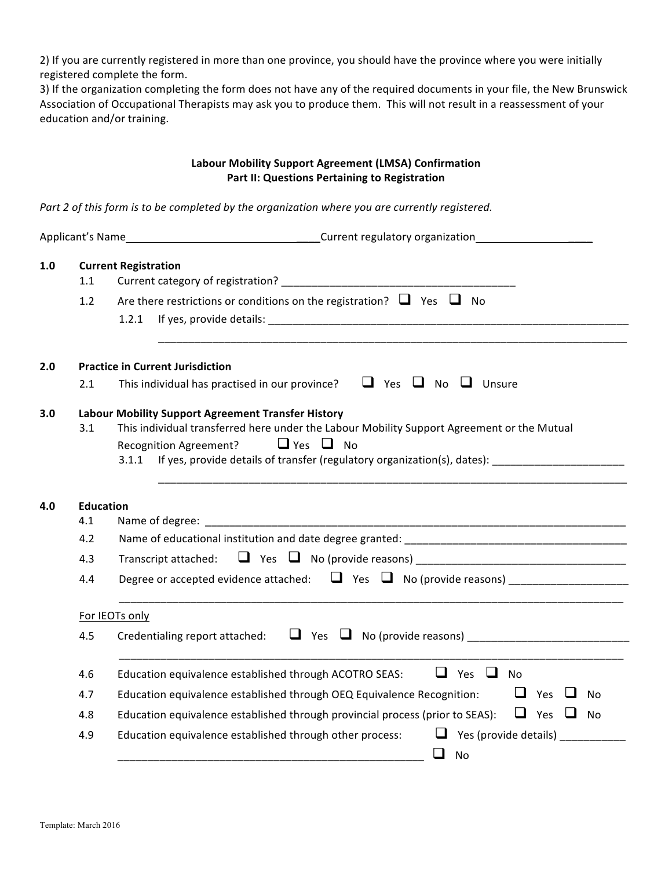2) If you are currently registered in more than one province, you should have the province where you were initially registered complete the form.

3) If the organization completing the form does not have any of the required documents in your file, the New Brunswick Association of Occupational Therapists may ask you to produce them. This will not result in a reassessment of your education and/or training.

## **Labour Mobility Support Agreement (LMSA) Confirmation** Part II: Questions Pertaining to Registration

Part 2 of this form is to be completed by the organization where you are currently registered.

| 1.0 | 1.1              | <b>Current Registration</b>                                                                                                                                                                                                                                                                           |
|-----|------------------|-------------------------------------------------------------------------------------------------------------------------------------------------------------------------------------------------------------------------------------------------------------------------------------------------------|
|     | 1.2              | Are there restrictions or conditions on the registration? $\Box$ Yes $\Box$ No<br>1.2.1                                                                                                                                                                                                               |
| 2.0 |                  | <b>Practice in Current Jurisdiction</b>                                                                                                                                                                                                                                                               |
|     | 2.1              | This individual has practised in our province? $\Box$ Yes $\Box$ No $\Box$ Unsure                                                                                                                                                                                                                     |
| 3.0 | 3.1              | <b>Labour Mobility Support Agreement Transfer History</b><br>This individual transferred here under the Labour Mobility Support Agreement or the Mutual<br>$\Box$ Yes $\Box$ No<br><b>Recognition Agreement?</b><br>If yes, provide details of transfer (regulatory organization(s), dates):<br>3.1.1 |
| 4.0 | <b>Education</b> |                                                                                                                                                                                                                                                                                                       |
|     | 4.1              |                                                                                                                                                                                                                                                                                                       |
|     | 4.2              |                                                                                                                                                                                                                                                                                                       |
|     | 4.3              |                                                                                                                                                                                                                                                                                                       |
|     | 4.4              | Degree or accepted evidence attached: $\Box$ Yes $\Box$ No (provide reasons)                                                                                                                                                                                                                          |
|     |                  | For IEOTs only                                                                                                                                                                                                                                                                                        |
|     | 4.5              | Credentialing report attached: $\Box$ Yes $\Box$ No (provide reasons)                                                                                                                                                                                                                                 |
|     | 4.6              | $\Box$ Yes $\Box$ No<br>Education equivalence established through ACOTRO SEAS:                                                                                                                                                                                                                        |
|     | 4.7              | $\Box$ Yes<br>Education equivalence established through OEQ Equivalence Recognition:<br>N <sub>0</sub>                                                                                                                                                                                                |
|     | 4.8              | Education equivalence established through provincial process (prior to SEAS): $\Box$ Yes $\Box$ No                                                                                                                                                                                                    |
|     | 4.9              | $\Box$ Yes (provide details)<br>Education equivalence established through other process:<br>❏<br><b>No</b>                                                                                                                                                                                            |